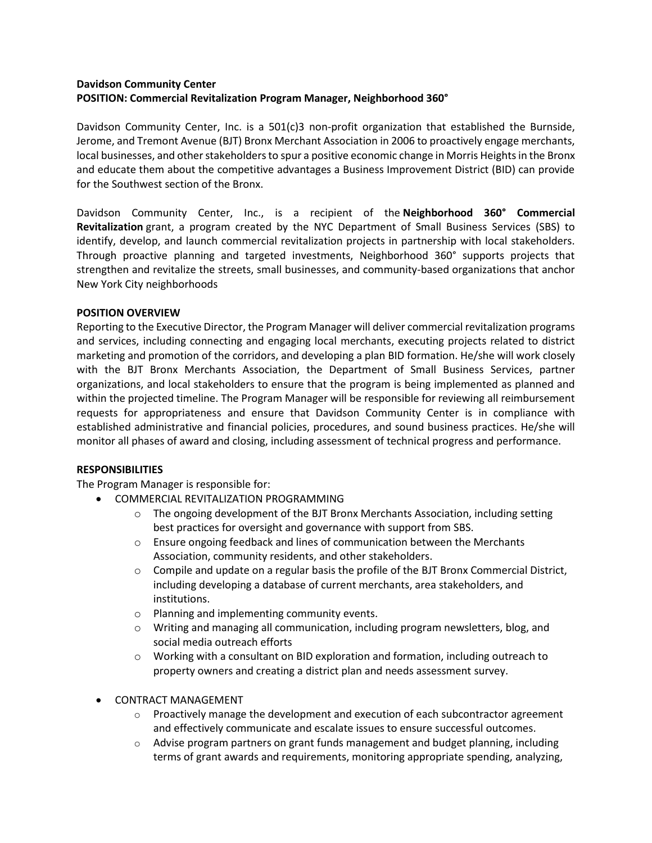# **Davidson Community Center POSITION: Commercial Revitalization Program Manager, Neighborhood 360°**

Davidson Community Center, Inc. is a 501(c)3 non-profit organization that established the Burnside, Jerome, and Tremont Avenue (BJT) Bronx Merchant Association in 2006 to proactively engage merchants, local businesses, and other stakeholders to spur a positive economic change in Morris Heights in the Bronx and educate them about the competitive advantages a Business Improvement District (BID) can provide for the Southwest section of the Bronx.

Davidson Community Center, Inc., is a recipient of the **Neighborhood 360° Commercial Revitalization** grant, a program created by the NYC Department of Small Business Services (SBS) to identify, develop, and launch commercial revitalization projects in partnership with local stakeholders. Through proactive planning and targeted investments, Neighborhood 360° supports projects that strengthen and revitalize the streets, small businesses, and community-based organizations that anchor New York City neighborhoods

### **POSITION OVERVIEW**

Reporting to the Executive Director, the Program Manager will deliver commercial revitalization programs and services, including connecting and engaging local merchants, executing projects related to district marketing and promotion of the corridors, and developing a plan BID formation. He/she will work closely with the BJT Bronx Merchants Association, the Department of Small Business Services, partner organizations, and local stakeholders to ensure that the program is being implemented as planned and within the projected timeline. The Program Manager will be responsible for reviewing all reimbursement requests for appropriateness and ensure that Davidson Community Center is in compliance with established administrative and financial policies, procedures, and sound business practices. He/she will monitor all phases of award and closing, including assessment of technical progress and performance.

### **RESPONSIBILITIES**

The Program Manager is responsible for:

- COMMERCIAL REVITALIZATION PROGRAMMING
	- $\circ$  The ongoing development of the BJT Bronx Merchants Association, including setting best practices for oversight and governance with support from SBS.
	- $\circ$  Ensure ongoing feedback and lines of communication between the Merchants Association, community residents, and other stakeholders.
	- $\circ$  Compile and update on a regular basis the profile of the BJT Bronx Commercial District, including developing a database of current merchants, area stakeholders, and institutions.
	- o Planning and implementing community events.
	- o Writing and managing all communication, including program newsletters, blog, and social media outreach efforts
	- $\circ$  Working with a consultant on BID exploration and formation, including outreach to property owners and creating a district plan and needs assessment survey.

### • CONTRACT MANAGEMENT

- $\circ$  Proactively manage the development and execution of each subcontractor agreement and effectively communicate and escalate issues to ensure successful outcomes.
- $\circ$  Advise program partners on grant funds management and budget planning, including terms of grant awards and requirements, monitoring appropriate spending, analyzing,